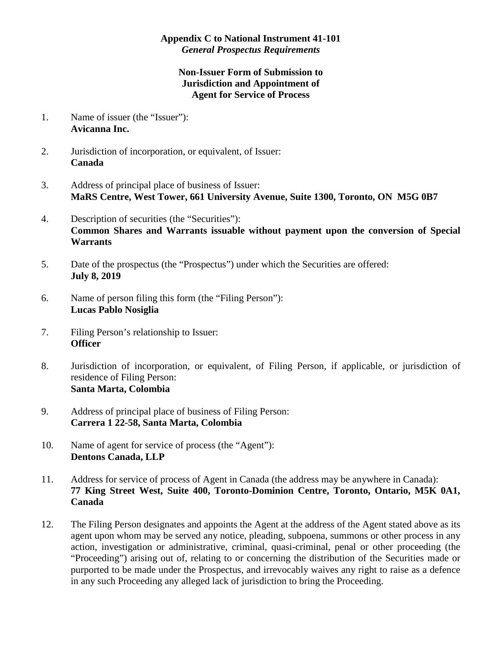## **Appendix C to National Instrument 41-101**  *General Prospectus Requirements*

## **Non-Issuer Form of Submission to Jurisdiction and Appointment of Agent for Service of Process**

- 1. Name of issuer (the "Issuer"): **Avicanna Inc.**
- 2. Jurisdiction of incorporation, or equivalent, of Issuer: **Canada**
- 3. Address of principal place of business of Issuer: **MaRS Centre, West Tower, 661 University Avenue, Suite 1300, Toronto, ON M5G 0B7**
- 4. Description of securities (the "Securities"): **Common Shares and Warrants issuable without payment upon the conversion of Special Warrants**
- 5. Date of the prospectus (the "Prospectus") under which the Securities are offered: **July 8, 2019**
- 6. Name of person filing this form (the "Filing Person"): **Lucas Pablo Nosiglia**
- 7. Filing Person's relationship to Issuer: **Officer**
- 8. Jurisdiction of incorporation, or equivalent, of Filing Person, if applicable, or jurisdiction of residence of Filing Person: **Santa Marta, Colombia**
- 9. Address of principal place of business of Filing Person: **Carrera 1 22-58, Santa Marta, Colombia**
- 10. Name of agent for service of process (the "Agent"): **Dentons Canada, LLP**
- 11. Address for service of process of Agent in Canada (the address may be anywhere in Canada): **77 King Street West, Suite 400, Toronto-Dominion Centre, Toronto, Ontario, M5K 0A1, Canada**
- 12. The Filing Person designates and appoints the Agent at the address of the Agent stated above as its agent upon whom may be served any notice, pleading, subpoena, summons or other process in any action, investigation or administrative, criminal, quasi-criminal, penal or other proceeding (the "Proceeding") arising out of, relating to or concerning the distribution of the Securities made or purported to be made under the Prospectus, and irrevocably waives any right to raise as a defence in any such Proceeding any alleged lack of jurisdiction to bring the Proceeding.